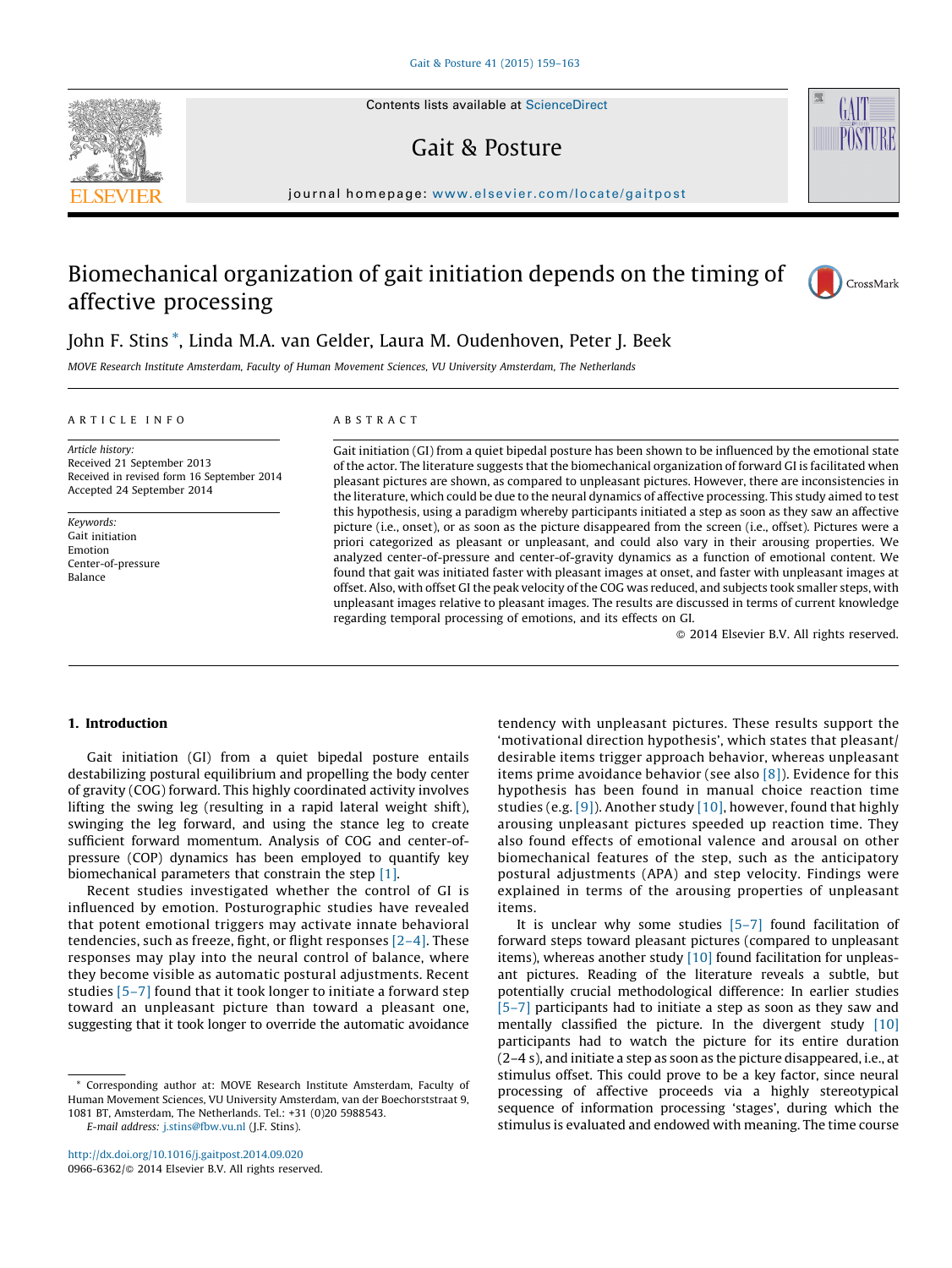Contents lists available at [ScienceDirect](http://www.sciencedirect.com/science/journal/09666362)

## Gait & Posture

journal homepage: www.elsevier.com/locate/gaitpost

# Biomechanical organization of gait initiation depends on the timing of affective processing



GAIT

## John F. Stins \*, Linda M.A. van Gelder, Laura M. Oudenhoven, Peter J. Beek

MOVE Research Institute Amsterdam, Faculty of Human Movement Sciences, VU University Amsterdam, The Netherlands

## A R T I C L E I N F O

Article history: Received 21 September 2013 Received in revised form 16 September 2014 Accepted 24 September 2014

Keywords: Gait initiation Emotion Center-of-pressure Balance

## A B S T R A C T

Gait initiation (GI) from a quiet bipedal posture has been shown to be influenced by the emotional state of the actor. The literature suggests that the biomechanical organization of forward GI is facilitated when pleasant pictures are shown, as compared to unpleasant pictures. However, there are inconsistencies in the literature, which could be due to the neural dynamics of affective processing. This study aimed to test this hypothesis, using a paradigm whereby participants initiated a step as soon as they saw an affective picture (i.e., onset), or as soon as the picture disappeared from the screen (i.e., offset). Pictures were a priori categorized as pleasant or unpleasant, and could also vary in their arousing properties. We analyzed center-of-pressure and center-of-gravity dynamics as a function of emotional content. We found that gait was initiated faster with pleasant images at onset, and faster with unpleasant images at offset. Also, with offset GI the peak velocity of the COG was reduced, and subjects took smaller steps, with unpleasant images relative to pleasant images. The results are discussed in terms of current knowledge regarding temporal processing of emotions, and its effects on GI.

- 2014 Elsevier B.V. All rights reserved.

## 1. Introduction

Gait initiation (GI) from a quiet bipedal posture entails destabilizing postural equilibrium and propelling the body center of gravity (COG) forward. This highly coordinated activity involves lifting the swing leg (resulting in a rapid lateral weight shift), swinging the leg forward, and using the stance leg to create sufficient forward momentum. Analysis of COG and center-ofpressure (COP) dynamics has been employed to quantify key biomechanical parameters that constrain the step [\[1\]](#page-4-0).

Recent studies investigated whether the control of GI is influenced by emotion. Posturographic studies have revealed that potent emotional triggers may activate innate behavioral tendencies, such as freeze, fight, or flight responses [\[2–4\].](#page-4-0) These responses may play into the neural control of balance, where they become visible as automatic postural adjustments. Recent studies [\[5–7\]](#page-4-0) found that it took longer to initiate a forward step toward an unpleasant picture than toward a pleasant one, suggesting that it took longer to override the automatic avoidance

E-mail address: [j.stins@fbw.vu.nl](mailto:j.stins@fbw.vu.nl) (J.F. Stins).

<http://dx.doi.org/10.1016/j.gaitpost.2014.09.020> 0966-6362/© 2014 Elsevier B.V. All rights reserved. tendency with unpleasant pictures. These results support the 'motivational direction hypothesis', which states that pleasant/ desirable items trigger approach behavior, whereas unpleasant items prime avoidance behavior (see also  $[8]$ ). Evidence for this hypothesis has been found in manual choice reaction time studies (e.g. [\[9\]\)](#page-4-0). Another study [\[10\],](#page-4-0) however, found that highly arousing unpleasant pictures speeded up reaction time. They also found effects of emotional valence and arousal on other biomechanical features of the step, such as the anticipatory postural adjustments (APA) and step velocity. Findings were explained in terms of the arousing properties of unpleasant items.

It is unclear why some studies  $[5-7]$  found facilitation of forward steps toward pleasant pictures (compared to unpleasant items), whereas another study [\[10\]](#page-4-0) found facilitation for unpleasant pictures. Reading of the literature reveals a subtle, but potentially crucial methodological difference: In earlier studies [\[5–7\]](#page-4-0) participants had to initiate a step as soon as they saw and mentally classified the picture. In the divergent study [\[10\]](#page-4-0) participants had to watch the picture for its entire duration (2–4 s), and initiate a step as soon as the picture disappeared, i.e., at stimulus offset. This could prove to be a key factor, since neural processing of affective proceeds via a highly stereotypical sequence of information processing 'stages', during which the stimulus is evaluated and endowed with meaning. The time course



<sup>\*</sup> Corresponding author at: MOVE Research Institute Amsterdam, Faculty of Human Movement Sciences, VU University Amsterdam, van der Boechorststraat 9, 1081 BT, Amsterdam, The Netherlands. Tel.: +31 (0)20 5988543.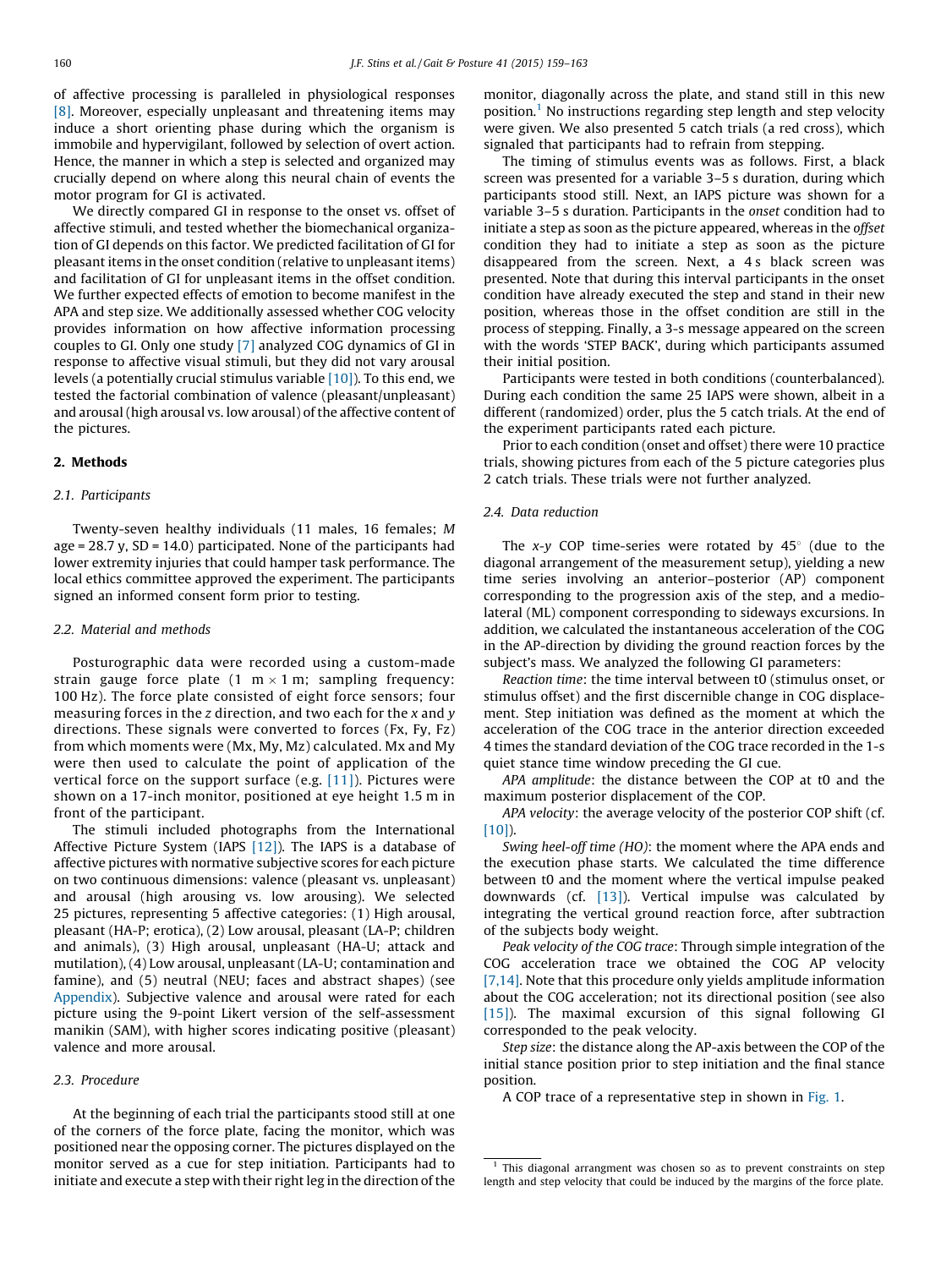of affective processing is paralleled in physiological responses [\[8\].](#page-4-0) Moreover, especially unpleasant and threatening items may induce a short orienting phase during which the organism is immobile and hypervigilant, followed by selection of overt action. Hence, the manner in which a step is selected and organized may crucially depend on where along this neural chain of events the motor program for GI is activated.

We directly compared GI in response to the onset vs. offset of affective stimuli, and tested whether the biomechanical organization of GI depends on this factor. We predicted facilitation of GI for pleasant items in the onset condition (relative to unpleasant items) and facilitation of GI for unpleasant items in the offset condition. We further expected effects of emotion to become manifest in the APA and step size. We additionally assessed whether COG velocity provides information on how affective information processing couples to GI. Only one study [\[7\]](#page-4-0) analyzed COG dynamics of GI in response to affective visual stimuli, but they did not vary arousal levels (a potentially crucial stimulus variable [\[10\]\)](#page-4-0). To this end, we tested the factorial combination of valence (pleasant/unpleasant) and arousal (high arousal vs. low arousal) of the affective content of the pictures.

#### 2. Methods

#### 2.1. Participants

Twenty-seven healthy individuals (11 males, 16 females; M age =  $28.7$  y, SD =  $14.0$ ) participated. None of the participants had lower extremity injuries that could hamper task performance. The local ethics committee approved the experiment. The participants signed an informed consent form prior to testing.

#### 2.2. Material and methods

Posturographic data were recorded using a custom-made strain gauge force plate (1 m $\times$ 1m; sampling frequency: 100 Hz). The force plate consisted of eight force sensors; four measuring forces in the z direction, and two each for the  $x$  and  $y$ directions. These signals were converted to forces (Fx, Fy, Fz) from which moments were (Mx, My, Mz) calculated. Mx and My were then used to calculate the point of application of the vertical force on the support surface (e.g.  $[11]$ ). Pictures were shown on a 17-inch monitor, positioned at eye height 1.5 m in front of the participant.

The stimuli included photographs from the International Affective Picture System (IAPS [\[12\]](#page-4-0)). The IAPS is a database of affective pictures with normative subjective scores for each picture on two continuous dimensions: valence (pleasant vs. unpleasant) and arousal (high arousing vs. low arousing). We selected 25 pictures, representing 5 affective categories: (1) High arousal, pleasant (HA-P; erotica), (2) Low arousal, pleasant (LA-P; children and animals), (3) High arousal, unpleasant (HA-U; attack and mutilation), (4) Low arousal, unpleasant (LA-U; contamination and famine), and (5) neutral (NEU; faces and abstract shapes) (see [Appendix](#page-4-0)). Subjective valence and arousal were rated for each picture using the 9-point Likert version of the self-assessment manikin (SAM), with higher scores indicating positive (pleasant) valence and more arousal.

## 2.3. Procedure

At the beginning of each trial the participants stood still at one of the corners of the force plate, facing the monitor, which was positioned near the opposing corner. The pictures displayed on the monitor served as a cue for step initiation. Participants had to initiate and execute a step with their right leg in the direction of the monitor, diagonally across the plate, and stand still in this new position.<sup>1</sup> No instructions regarding step length and step velocity were given. We also presented 5 catch trials (a red cross), which signaled that participants had to refrain from stepping.

The timing of stimulus events was as follows. First, a black screen was presented for a variable 3–5 s duration, during which participants stood still. Next, an IAPS picture was shown for a variable 3–5 s duration. Participants in the onset condition had to initiate a step as soon as the picture appeared, whereas in the offset condition they had to initiate a step as soon as the picture disappeared from the screen. Next, a 4s black screen was presented. Note that during this interval participants in the onset condition have already executed the step and stand in their new position, whereas those in the offset condition are still in the process of stepping. Finally, a 3-s message appeared on the screen with the words 'STEP BACK', during which participants assumed their initial position.

Participants were tested in both conditions (counterbalanced). During each condition the same 25 IAPS were shown, albeit in a different (randomized) order, plus the 5 catch trials. At the end of the experiment participants rated each picture.

Prior to each condition (onset and offset) there were 10 practice trials, showing pictures from each of the 5 picture categories plus 2 catch trials. These trials were not further analyzed.

## 2.4. Data reduction

The x-y COP time-series were rotated by  $45^\circ$  (due to the diagonal arrangement of the measurement setup), yielding a new time series involving an anterior–posterior (AP) component corresponding to the progression axis of the step, and a mediolateral (ML) component corresponding to sideways excursions. In addition, we calculated the instantaneous acceleration of the COG in the AP-direction by dividing the ground reaction forces by the subject's mass. We analyzed the following GI parameters:

Reaction time: the time interval between t0 (stimulus onset, or stimulus offset) and the first discernible change in COG displacement. Step initiation was defined as the moment at which the acceleration of the COG trace in the anterior direction exceeded 4 times the standard deviation of the COG trace recorded in the 1-s quiet stance time window preceding the GI cue.

APA amplitude: the distance between the COP at t0 and the maximum posterior displacement of the COP.

APA velocity: the average velocity of the posterior COP shift (cf. [\[10\]](#page-4-0)).

Swing heel-off time (HO): the moment where the APA ends and the execution phase starts. We calculated the time difference between t0 and the moment where the vertical impulse peaked downwards (cf. [\[13\]](#page-4-0)). Vertical impulse was calculated by integrating the vertical ground reaction force, after subtraction of the subjects body weight.

Peak velocity of the COG trace: Through simple integration of the COG acceleration trace we obtained the COG AP velocity [\[7,14\]](#page-4-0). Note that this procedure only yields amplitude information about the COG acceleration; not its directional position (see also [\[15\]](#page-4-0)). The maximal excursion of this signal following GI corresponded to the peak velocity.

Step size: the distance along the AP-axis between the COP of the initial stance position prior to step initiation and the final stance position.

A COP trace of a representative step in shown in [Fig.](#page-2-0) 1.

 $1$  This diagonal arrangment was chosen so as to prevent constraints on step length and step velocity that could be induced by the margins of the force plate.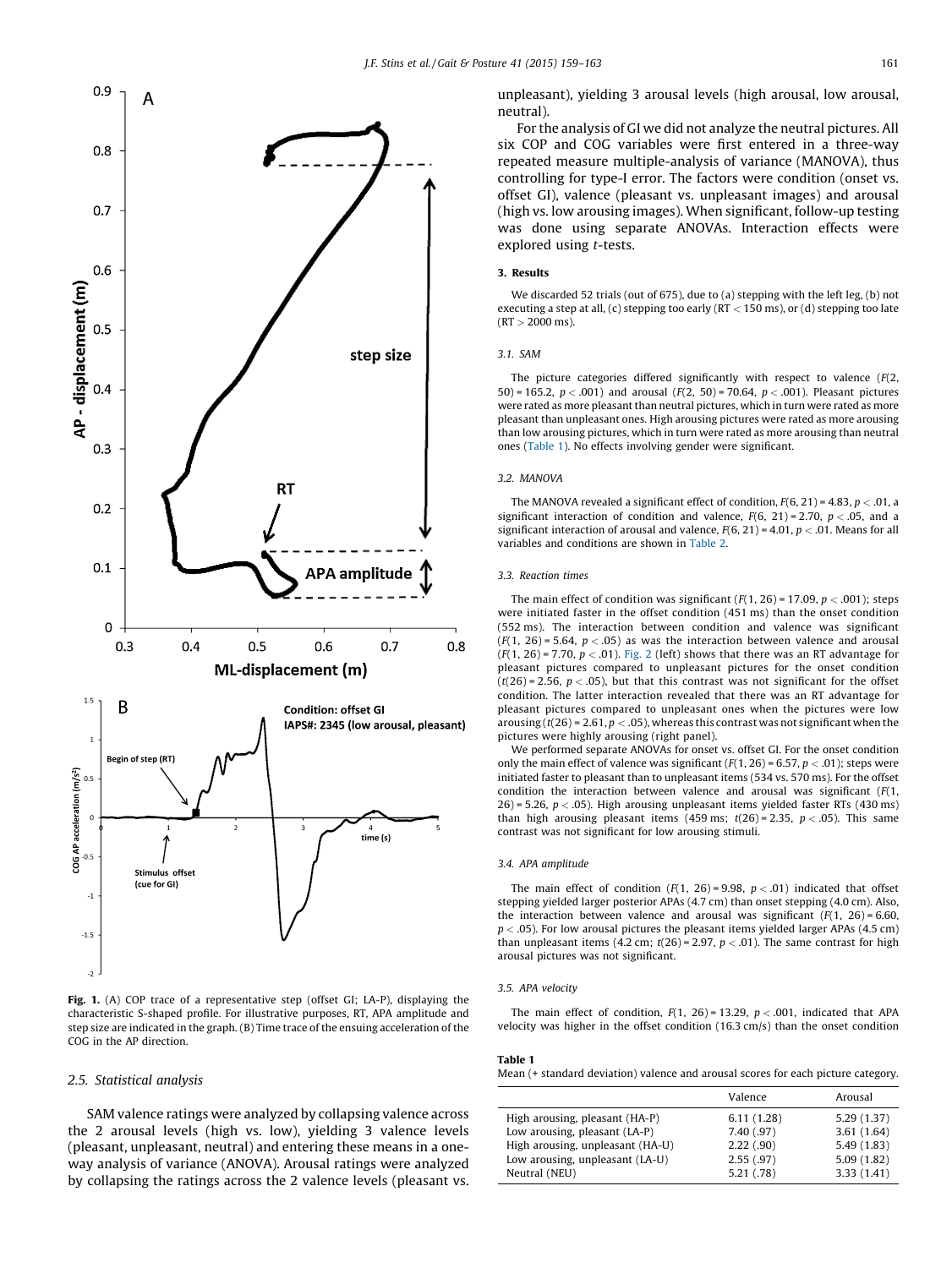<span id="page-2-0"></span>

Fig. 1. (A) COP trace of a representative step (offset GI; LA-P), displaying the characteristic S-shaped profile. For illustrative purposes, RT, APA amplitude and step size are indicated in the graph. (B) Time trace of the ensuing acceleration of the COG in the AP direction.

## 2.5. Statistical analysis

SAM valence ratings were analyzed by collapsing valence across the 2 arousal levels (high vs. low), yielding 3 valence levels (pleasant, unpleasant, neutral) and entering these means in a oneway analysis of variance (ANOVA). Arousal ratings were analyzed by collapsing the ratings across the 2 valence levels (pleasant vs. unpleasant), yielding 3 arousal levels (high arousal, low arousal, neutral).

For the analysis of GI we did not analyze the neutral pictures. All six COP and COG variables were first entered in a three-way repeated measure multiple-analysis of variance (MANOVA), thus controlling for type-I error. The factors were condition (onset vs. offset GI), valence (pleasant vs. unpleasant images) and arousal (high vs. low arousing images). When significant, follow-up testing was done using separate ANOVAs. Interaction effects were explored using t-tests.

#### 3. Results

We discarded 52 trials (out of 675), due to (a) stepping with the left leg, (b) not executing a step at all, (c) stepping too early ( $RT < 150$  ms), or (d) stepping too late  $(RT > 2000 \text{ ms})$ 

#### 3.1. SAM

The picture categories differed significantly with respect to valence  $(F(2,$ 50) = 165.2,  $p < .001$ ) and arousal ( $F(2, 50)$  = 70.64,  $p < .001$ ). Pleasant pictures were rated as more pleasant than neutral pictures, which in turn were rated as more pleasant than unpleasant ones. High arousing pictures were rated as more arousing than low arousing pictures, which in turn were rated as more arousing than neutral ones (Table 1). No effects involving gender were significant.

#### 3.2. MANOVA

The MANOVA revealed a significant effect of condition,  $F(6, 21) = 4.83$ ,  $p < .01$ , a significant interaction of condition and valence,  $F(6, 21) = 2.70$ ,  $p < .05$ , and a significant interaction of arousal and valence,  $F(6, 21) = 4.01$ ,  $p < .01$ . Means for all variables and conditions are shown in [Table](#page-3-0) 2.

#### 3.3. Reaction times

The main effect of condition was significant ( $F(1, 26)$  = 17.09,  $p < .001$ ); steps were initiated faster in the offset condition (451 ms) than the onset condition (552 ms). The interaction between condition and valence was significant  $(F(1, 26) = 5.64, p < .05)$  as was the interaction between valence and arousal  $(F(1, 26) = 7.70, p < .01)$ . [Fig.](#page-4-0) 2 (left) shows that there was an RT advantage for pleasant pictures compared to unpleasant pictures for the onset condition  $(t/26) = 2.56$ ,  $p < .05$ ), but that this contrast was not significant for the offset condition. The latter interaction revealed that there was an RT advantage for pleasant pictures compared to unpleasant ones when the pictures were low arousing  $(t(26) = 2.61, p < .05)$ , whereas this contrast was not significant when the pictures were highly arousing (right panel).

We performed separate ANOVAs for onset vs. offset GI. For the onset condition only the main effect of valence was significant  $(F(1, 26) = 6.57, p < .01)$ ; steps were initiated faster to pleasant than to unpleasant items (534 vs. 570 ms). For the offset condition the interaction between valence and arousal was significant  $(F(1,$ 26) = 5.26,  $p < .05$ ). High arousing unpleasant items yielded faster RTs (430 ms) than high arousing pleasant items (459 ms;  $t(26) = 2.35$ ,  $p < .05$ ). This same contrast was not significant for low arousing stimuli.

#### 3.4. APA amplitude

The main effect of condition  $(F(1, 26) = 9.98, p < .01)$  indicated that offset stepping yielded larger posterior APAs (4.7 cm) than onset stepping (4.0 cm). Also, the interaction between valence and arousal was significant  $(F(1, 26) = 6.60,$  $p < .05$ ). For low arousal pictures the pleasant items yielded larger APAs (4.5 cm) than unpleasant items  $(4.2 \text{ cm}; t(26) = 2.97, p < .01)$ . The same contrast for high arousal pictures was not significant.

#### 3.5. APA velocity

The main effect of condition,  $F(1, 26) = 13.29$ ,  $p < .001$ , indicated that APA velocity was higher in the offset condition (16.3 cm/s) than the onset condition

| Table 1                                                                           |  |  |
|-----------------------------------------------------------------------------------|--|--|
| Mean (+ standard deviation) valence and arousal scores for each picture category. |  |  |

|                                  | Valence    | Arousal    |
|----------------------------------|------------|------------|
| High arousing, pleasant (HA-P)   | 6.11(1.28) | 5.29(1.37) |
| Low arousing, pleasant (LA-P)    | 7.40(.97)  | 3.61(1.64) |
| High arousing, unpleasant (HA-U) | 2.22(.90)  | 5.49(1.83) |
| Low arousing, unpleasant (LA-U)  | 2.55(.97)  | 5.09(1.82) |
| Neutral (NEU)                    | 5.21(.78)  | 3.33(1.41) |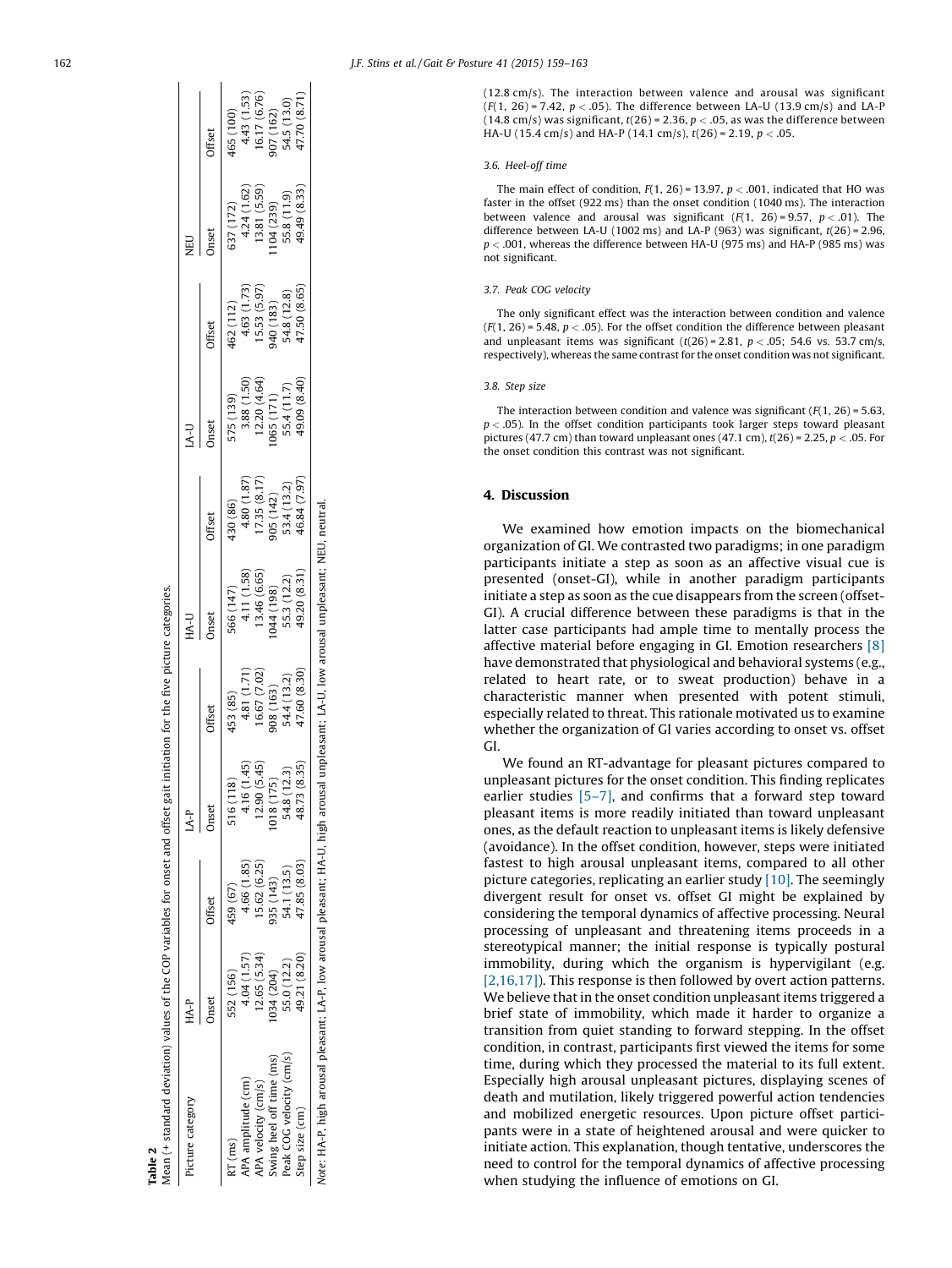<span id="page-3-0"></span>

| Picture category                                                                                                                         | HA-P         |              | $AA$ -P         |                                                              | HA-U                                      |                            | $A-U$                                    |                                          | DEID                        |                              |
|------------------------------------------------------------------------------------------------------------------------------------------|--------------|--------------|-----------------|--------------------------------------------------------------|-------------------------------------------|----------------------------|------------------------------------------|------------------------------------------|-----------------------------|------------------------------|
|                                                                                                                                          | Jnset        | Offset       | Jnset           | rfset                                                        | Jnset                                     | Offset                     | Inset                                    | Tifset                                   | hset                        | Offset                       |
| T(ms)                                                                                                                                    | 552 (156)    | 459 (67)     | 516 (118)       | (85)                                                         | 566 (147)                                 | $(36)$ $(36)$              |                                          |                                          | 37 (172)                    | 165 (100)                    |
| PA amplitude (cm)                                                                                                                        | 4.04 (1.57)  | 4.66 (1.85)  | 4.16 (1.45)     |                                                              | 4.11 (1.58                                | 4.80 (1.87                 |                                          |                                          |                             |                              |
| <b>IPA</b> velocity (cm/s)                                                                                                               | 12.65(5.34)  | 15.62 (6.25) | (5.45)<br>12.90 | $\begin{array}{c} 4.81\ (1.71) \\ 16.67\ (7.02) \end{array}$ | 13.46 (6.65                               | 17.35 (8.17                | 575 (139)<br>3.88 (1.50)<br>12.20 (4.64) | 462 (112)<br>4.63 (1.73)<br>15.53 (5.97) | 4.24 (1.62)<br>13.81 (5.59) | $4.43(1.53)$<br>16.17 (6.76) |
| wing heel off time (ms)                                                                                                                  | 034 (204)    | 935 (143)    | 018 (17         | 08 (163)                                                     |                                           |                            |                                          |                                          |                             |                              |
| Peak COG velocity (cm/s)                                                                                                                 | 55.0 (12.2)  | 54.1 (13.5)  | 54.8 (12.3)     | i4.4 (13.2)                                                  | $044(198)$<br>55.3 (12.2)<br>49.20 (8.31) | $905(142)$<br>$53.4(13.2)$ | $\frac{065}{55.4}\frac{(171)}{(11.7)}$   | 940 (183)<br>54.8 (12.8)                 | $104(239)$<br>55.8 $(11.9)$ | $907(162)$<br>54.5 (13.0)    |
| Step size (cm)                                                                                                                           | 49.21 (8.20) | 47.85 (8.03) | (8.35)<br>48.73 | 17.60(8.30)                                                  |                                           | 16.84 (7.97                | 19.09 (8.40)                             | 17.50 (8.65                              | 19.49 (8.33)                | 47.70 (8.71                  |
| Vote: HA-P, high arousal pleasant; LA-P, low arousal pleasant; HA-U, high arousal unpleasant; LA-U, low arousal unpleasant; NEU, neutral |              |              |                 |                                                              |                                           |                            |                                          |                                          |                             |                              |

Table 2

Mean (+ standard deviation) values of the COP variables for onset and offset gait initiation for the five picture categories.

Mean (+ standard deviation) values of the COP variables for onset and offset gait initiation for the five picture categories.

(12.8 cm/s). The interaction between valence and arousal was significant  $(F(1, 26) = 7.42, p < .05)$ . The difference between LA-U (13.9 cm/s) and LA-P (14.8 cm/s) was significant, t(26) = 2.36, p  $<$  .05, as was the difference between HA-U (15.4 cm/s) and HA-P (14.1 cm/s),  $t(26)$  = 2.19,  $p < .05$ .

#### 3.6. Heel-off time

The main effect of condition,  $F(1, 26)$  = 13.97,  $p < .001$ , indicated that HO was faster in the offset (922 ms) than the onset condition (1040 ms). The interaction between valence and arousal was significant  $(F(1, 26) = 9.57, p < .01)$ . The difference between LA-U (1002 ms) and LA-P (963) was significant,  $t(26) = 2.96$ ,  $p < .001$ , whereas the difference between HA-U (975 ms) and HA-P (985 ms) was not significant.

#### 3.7. Peak COG velocity

The only significant effect was the interaction between condition and valence  $(F(1, 26) = 5.48, p < .05)$ . For the offset condition the difference between pleasant and unpleasant items was significant  $(t(26) = 2.81, p < .05; 54.6 \text{ vs. } 53.7 \text{ cm/s}$ respectively), whereas the same contrast for the onset condition was not significant.

#### 3.8. Step size

The interaction between condition and valence was significant  $(F(1, 26) = 5.63)$  $p < .05$ ). In the offset condition participants took larger steps toward pleasant pictures (47.7 cm) than toward unpleasant ones (47.1 cm),  $t(26)$  = 2.25,  $p < .05$ . For the onset condition this contrast was not significant.

## 4. Discussion

We examined how emotion impacts on the biomechanical organization of GI. We contrasted two paradigms; in one paradigm participants initiate a step as soon as an affective visual cue is presented (onset-GI), while in another paradigm participants initiate a step as soon as the cue disappears from the screen (offset-GI). A crucial difference between these paradigms is that in the latter case participants had ample time to mentally process the affective material before engaging in GI. Emotion researchers [\[8\]](#page-4-0) have demonstrated that physiological and behavioral systems (e.g., related to heart rate, or to sweat production) behave in a characteristic manner when presented with potent stimuli, especially related to threat. This rationale motivated us to examine whether the organization of GI varies according to onset vs. offset GI.

We found an RT-advantage for pleasant pictures compared to unpleasant pictures for the onset condition. This finding replicates earlier studies [\[5–7\]](#page-4-0) , and confirms that a forward step toward pleasant items is more readily initiated than toward unpleasant ones, as the default reaction to unpleasant items is likely defensive (avoidance). In the offset condition, however, steps were initiated fastest to high arousal unpleasant items, compared to all other picture categories, replicating an earlier study [\[10\]](#page-4-0) . The seemingly divergent result for onset vs. offset GI might be explained by considering the temporal dynamics of affective processing. Neural processing of unpleasant and threatening items proceeds in a stereotypical manner; the initial response is typically postural immobility, during which the organism is hypervigilant (e.g. [\[2,16,17\]\)](#page-4-0). This response is then followed by overt action patterns. We believe that in the onset condition unpleasant items triggered a brief state of immobility, which made it harder to organize a transition from quiet standing to forward stepping. In the offset condition, in contrast, participants first viewed the items for some time, during which they processed the material to its full extent. Especially high arousal unpleasant pictures, displaying scenes of death and mutilation, likely triggered powerful action tendencies and mobilized energetic resources. Upon picture offset participants were in a state of heightened arousal and were quicker to initiate action. This explanation, though tentative, underscores the need to control for the temporal dynamics of affective processing when studying the influence of emotions on GI.